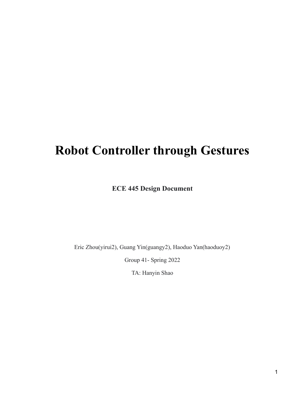# **Robot Controller through Gestures**

**ECE 445 Design Document**

Eric Zhou(yirui2), Guang Yin(guangy2), Haoduo Yan(haoduoy2)

Group 41- Spring 2022

TA: Hanyin Shao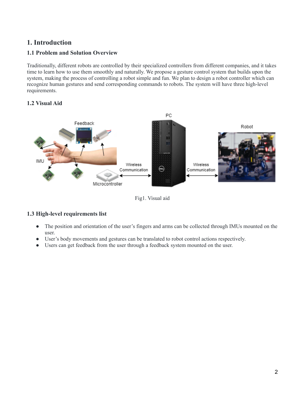# **1. Introduction**

## **1.1 Problem and Solution Overview**

Traditionally, different robots are controlled by their specialized controllers from different companies, and it takes time to learn how to use them smoothly and naturally. We propose a gesture control system that builds upon the system, making the process of controlling a robot simple and fun. We plan to design a robot controller which can recognize human gestures and send corresponding commands to robots. The system will have three high-level requirements.

## **1.2 Visual Aid**



Fig1. Visual aid

## **1.3 High-level requirements list**

- The position and orientation of the user's fingers and arms can be collected through IMUs mounted on the user.
- User's body movements and gestures can be translated to robot control actions respectively.
- Users can get feedback from the user through a feedback system mounted on the user.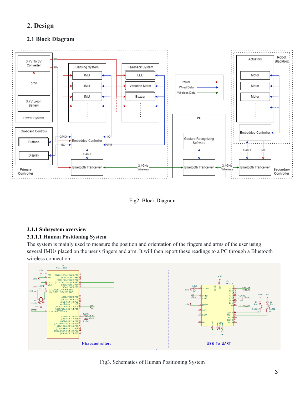# **2. Design**

## **2.1 Block Diagram**



Fig2. Block Diagram

## **2.1.1 Subsystem overview**

#### **2.1.1.1 Human Positioning System**

The system is mainly used to measure the position and orientation of the fingers and arms of the user using several IMUs placed on the user's fingers and arm. It will then report these readings to a PC through a Bluetooth wireless connection.



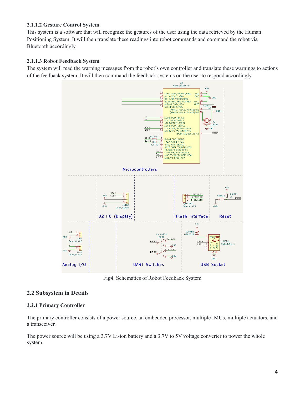#### **2.1.1.2 Gesture Control System**

This system is a software that will recognize the gestures of the user using the data retrieved by the Human Positioning System. It will then translate these readings into robot commands and command the robot via Bluetooth accordingly.

#### **2.1.1.3 Robot Feedback System**

The system will read the warning messages from the robot's own controller and translate these warnings to actions of the feedback system. It will then command the feedback systems on the user to respond accordingly.



Fig4. Schematics of Robot Feedback System

## **2.2 Subsystem in Details**

#### **2.2.1 Primary Controller**

The primary controller consists of a power source, an embedded processor, multiple IMUs, multiple actuators, and a transceiver.

The power source will be using a 3.7V Li-ion battery and a 3.7V to 5V voltage converter to power the whole system.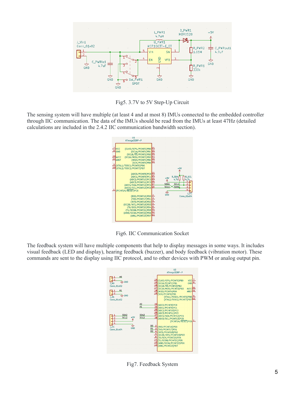

Fig5. 3.7V to 5V Step-Up Circuit

The sensing system will have multiple (at least 4 and at most 8) IMUs connected to the embedded controller through IIC communication. The data of the IMUs should be read from the IMUs at least 47Hz (detailed calculations are included in the 2.4.2 IIC communication bandwidth section).



Fig6. IIC Communication Socket

The feedback system will have multiple components that help to display messages in some ways. It includes visual feedback (LED and display), hearing feedback (buzzer), and body feedback (vibration motor). These commands are sent to the display using IIC protocol, and to other devices with PWM or analog output pin.



Fig7. Feedback System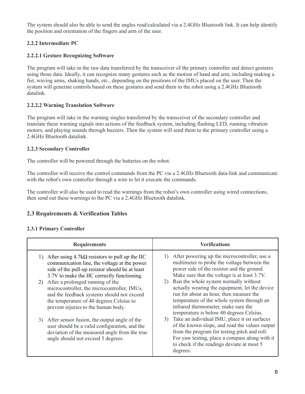The system should also be able to send the angles read/calculated via a 2.4GHz Bluetooth link. It can help identify the position and orientation of the fingers and arm of the user.

## **2.2.2 Intermediate PC**

## **2.2.2.1 Gesture Recognizing Software**

The program will take in the raw data transferred by the transceiver of the primary controller and detect gestures using those data. Ideally, it can recognize many gestures such as the motion of hand and arm, including making a fist, waving arms, shaking hands, etc., depending on the positions of the IMUs placed on the user. Then the system will generate controls based on these gestures and send them to the robot using a 2.4GHz Bluetooth datalink.

### **2.2.2.2 Warning Translation Software**

The program will take in the warning singles transferred by the transceiver of the secondary controller and translate these warning signals into actions of the feedback system, including flashing LED, running vibration motors, and playing sounds through buzzers. Then the system will send them to the primary controller using a 2.4GHz Bluetooth datalink.

#### **2.2.3 Secondary Controller**

The controller will be powered through the batteries on the robot.

The controller will receive the control commands from the PC via a 2.4GHz Bluetooth data-link and communicate with the robot's own controller through a wire to let it execute the commands.

The controller will also be used to read the warnings from the robot's own controller using wired connections, then send out these warnings to the PC via a 2.4GHz Bluetooth datalink.

## **2.3 Requirements & Verification Tables**

#### **2.3.1 Primary Controller**

| <b>Requirements</b>                                                                                                                                                                                                                                                                                                                                                                                                               | <b>Verifications</b>                                                                                                                                                                                                                                                                                                                                                                                                          |
|-----------------------------------------------------------------------------------------------------------------------------------------------------------------------------------------------------------------------------------------------------------------------------------------------------------------------------------------------------------------------------------------------------------------------------------|-------------------------------------------------------------------------------------------------------------------------------------------------------------------------------------------------------------------------------------------------------------------------------------------------------------------------------------------------------------------------------------------------------------------------------|
| After using $4.7k\Omega$ resistors to pull up the IIC<br>communication line, the voltage at the power<br>side of the pull-up resistor should be at least<br>3.7V to make the IIC correctly functioning.<br>After a prolonged running of the<br>2)<br>microcontroller, the microcontroller, IMUs,<br>and the feedback systems should not exceed<br>the temperature of 40 degrees Celsius to<br>prevent injuries to the human body. | After powering up the microcontroller, use a<br>1)<br>multimeter to probe the voltage between the<br>power side of the resistor and the ground.<br>Make sure that the voltage is at least 3.7V.<br>2) Run the whole system normally without<br>actually wearing the equipment, let the device<br>run for about an hour, then measure the<br>temperature of the whole system through an<br>infrared thermometer, make sure the |
| After sensor fusion, the output angle of the<br>3)<br>user should be a valid configuration, and the<br>deviation of the measured angle from the true<br>angle should not exceed 5 degrees.                                                                                                                                                                                                                                        | temperature is below 40 degrees Celsius.<br>3) Take an individual IMU, place it on surfaces<br>of the known slope, and read the values output<br>from the program for testing pitch and roll.<br>For yaw testing, place a compass along with it<br>to check if the readings deviate at most 5<br>degrees.                                                                                                                     |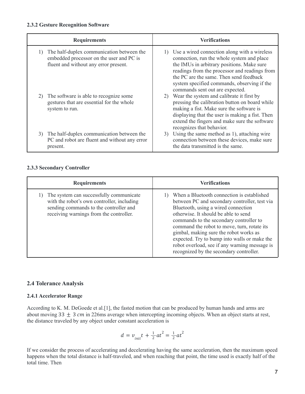#### **2.3.2 Gesture Recognition Software**

| <b>Requirements</b>                                                                                                            | <b>Verifications</b>                                                                                                                                                                                                                                                                                                      |
|--------------------------------------------------------------------------------------------------------------------------------|---------------------------------------------------------------------------------------------------------------------------------------------------------------------------------------------------------------------------------------------------------------------------------------------------------------------------|
| The half-duplex communication between the<br>embedded processor on the user and PC is<br>fluent and without any error present. | 1) Use a wired connection along with a wireless<br>connection, run the whole system and place<br>the IMUs in arbitrary positions. Make sure<br>readings from the processor and readings from<br>the PC are the same. Then send feedback<br>system specified commands, observing if the<br>commands sent out are expected. |
| The software is able to recognize some<br>2)<br>gestures that are essential for the whole<br>system to run.                    | 2) Wear the system and calibrate it first by<br>pressing the calibration button on board while<br>making a fist. Make sure the software is<br>displaying that the user is making a fist. Then<br>extend the fingers and make sure the software<br>recognizes that behavior.                                               |
| The half-duplex communication between the<br>3)<br>PC and robot are fluent and without any error<br>present.                   | 3) Using the same method as 1), attaching wire<br>connection between these devices, make sure<br>the data transmitted is the same.                                                                                                                                                                                        |

#### **2.3.3 Secondary Controller**

| <b>Requirements</b>                                                                                                                                                        | <b>Verifications</b>                                                                                                                                                                                                                                                                                                                                                                                                                                       |
|----------------------------------------------------------------------------------------------------------------------------------------------------------------------------|------------------------------------------------------------------------------------------------------------------------------------------------------------------------------------------------------------------------------------------------------------------------------------------------------------------------------------------------------------------------------------------------------------------------------------------------------------|
| The system can successfully communicate<br>with the robot's own controller, including<br>sending commands to the controller and<br>receiving warnings from the controller. | When a Bluetooth connection is established<br>between PC and secondary controller, test via<br>Bluetooth, using a wired connection<br>otherwise. It should be able to send<br>commands to the secondary controller to<br>command the robot to move, turn, rotate its<br>gimbal, making sure the robot works as<br>expected. Try to bump into walls or make the<br>robot overload, see if any warning message is<br>recognized by the secondary controller. |

## **2.4 Tolerance Analysis**

#### **2.4.1 Accelerator Range**

According to K. M. DeGoede et al.[1], the fasted motion that can be produced by human hands and arms are about moving 33  $\pm$  3 *cm* in 226ms average when intercepting incoming objects. When an object starts at rest, the distance traveled by any object under constant acceleration is

$$
d = v_{init}t + \frac{1}{2}at^2 = \frac{1}{2}at^2
$$

If we consider the process of accelerating and decelerating having the same acceleration, then the maximum speed happens when the total distance is half-traveled, and when reaching that point, the time used is exactly half of the total time. Then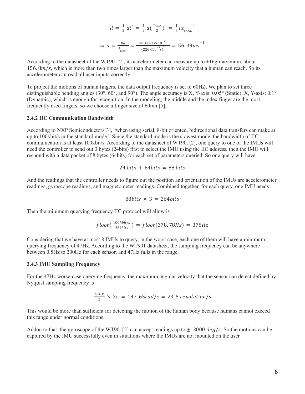$$
d = \frac{1}{2}at^2 = \frac{1}{2}a(\frac{t_{total}}{2})^2 = \frac{1}{8}at_{total}^2
$$

$$
\Rightarrow a = \frac{8d}{t_{total}^2} = \frac{8 \times (33 + 3) \times 10^{-2}m}{(226 \times 10^{-3} s)^2} = 56.39 ms^{-1}
$$

According to the datasheet of the WT901[2], its accelerometer can measure up to  $\pm 16$ g maximum, about 156.  $8m/s$ , which is more than two times larger than the maximum velocity that a human can reach. So its accelerometer can read all user inputs correctly.

To project the motions of human fingers, the data output frequency is set to 60HZ. We plan to set three distinguishable bending angles (30°, 60°, and 90°). The angle accuracy is X, Y-axis: 0.05° (Static), X, Y-axis: 0.1° (Dynamic), which is enough for recognition. In the modeling, the middle and the index finger are the most frequently used fingers, so we choose a finger size of 60mm[5].

#### **2.4.2 IIC Communication Bandwidth**

According to NXP Semiconductors[3], "when using serial, 8-bit oriented, bidirectional data transfers can make at up to 100kbit/s in the standard mode." Since the standard mode is the slowest mode, the bandwidth of IIC communication is at least 100kbit/s. According to the datasheet of WT901[2], one query to one of the IMUs will need the controller to send out 3 bytes (24bits) first to select the IMU using the IIC address, then the IMU will respond with a data packet of 8 bytes (64bits) for each set of parameters queried. So one query will have

$$
24 bits + 64 bits = 88 bits
$$

And the readings that the controller needs to figure out the position and orientation of the IMUs are accelerometer readings, gyroscope readings, and magnetometer readings. Combined together, for each query, one IMU needs

88bits 
$$
\times
$$
 3 = 264bits

Then the minimum querying frequency IIC protocol will allow is

$$
floor(\frac{100kbit/s}{264bits}) = floor(378.78Hz) = 378Hz
$$

Considering that we have at most 8 IMUs to query, in the worst case, each one of them will have a minimum querying frequency of 47Hz. According to the WT901 datasheet, the sampling frequency can be anywhere between 0.5Hz to 200Hz for each sensor, and 47Hz falls in the range.

#### **2.4.3 IMU Sampling Frequency**

For the 47Hz worse-case querying frequency, the maximum angular velocity that the sensor can detect defined by Nyquist sampling frequency is

$$
\frac{47Hz}{2} \times 2\pi = 147.65 rad/s = 23.5 revolution/s
$$

This would be more than sufficient for detecting the motion of the human body because humans cannot exceed this range under normal conditions.

Addon to that, the gyroscope of the WT901[2] can accept readings up to  $\pm$  2000 *deg/s*. So the motions can be captured by the IMU successfully even in situations where the IMUs are not mounted on the user.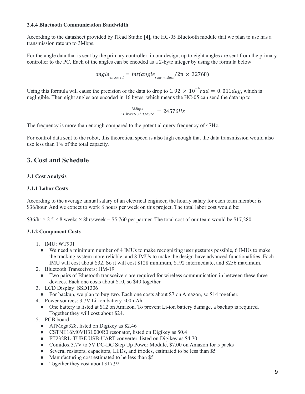#### **2.4.4 Bluetooth Communication Bandwidth**

According to the datasheet provided by ITead Studio [4], the HC-05 Bluetooth module that we plan to use has a transmission rate up to 3Mbps.

For the angle data that is sent by the primary controller, in our design, up to eight angles are sent from the primary controller to the PC. Each of the angles can be encoded as a 2-byte integer by using the formula below

$$
angle_{encoded} = int(angle_{raw, radian}/2\pi \times 32768)
$$

Using this formula will cause the precision of the data to drop to 1.92  $\times$  10<sup>-4</sup> rad = 0.011 deg, which is negligible. Then eight angles are encoded in 16 bytes, which means the HC-05 can send the data up to

$$
\frac{3Mbps}{16\text{ bytes} \times 8\text{ bit/byte}} = 24576Hz
$$

The frequency is more than enough compared to the potential query frequency of 47Hz.

For control data sent to the robot, this theoretical speed is also high enough that the data transmission would also use less than 1% of the total capacity.

# **3. Cost and Schedule**

#### **3.1 Cost Analysis**

#### **3.1.1 Labor Costs**

According to the average annual salary of an electrical engineer, the hourly salary for each team member is \$36/hour. And we expect to work 8 hours per week on this project. The total labor cost would be:

 $$36/hr \times 2.5 \times 8$  weeks  $\times$  8hrs/week = \$5,760 per partner. The total cost of our team would be \$17,280.

#### **3.1.2 Component Costs**

- 1. IMU: WT901
	- We need a minimum number of 4 IMUs to make recognizing user gestures possible, 6 IMUs to make the tracking system more reliable, and 8 IMUs to make the design have advanced functionalities. Each IMU will cost about \$32. So it will cost \$128 minimum, \$192 intermediate, and \$256 maximum.
- 2. Bluetooth Transceivers: HM-19
- Two pairs of Bluetooth transceivers are required for wireless communication in between these three devices. Each one costs about \$10, so \$40 together.
- 3. LCD Display: SSD1306
- For backup, we plan to buy two. Each one costs about \$7 on Amazon, so \$14 together.
- 4. Power sources: 3.7V Li-ion battery 500mAh
	- One battery is listed at \$12 on Amazon. To prevent Li-ion battery damage, a backup is required. Together they will cost about \$24.
- 5. PCB board:
	- ATMega328, listed on Digikey as \$2.46
	- CSTNE16M0VH3L000R0 resonator, listed on Digikey as \$0.4
	- FT232RL-TUBE USB-UART converter, listed on Digikey as \$4.70
	- Comidox 3.7V to 5V DC-DC Step Up Power Module, \$7.00 on Amazon for 5 packs
	- Several resistors, capacitors, LEDs, and triodes, estimated to be less than \$5
	- Manufacturing cost estimated to be less than \$5
	- Together they cost about \$17.92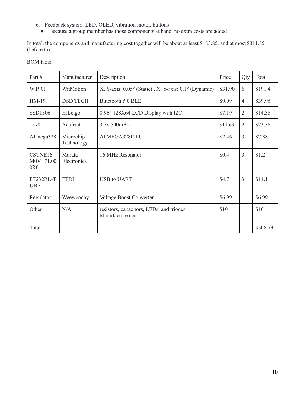- 6. Feedback system: LED, OLED, vibration motor, buttons
	- Because a group member has those components at hand, no extra costs are added

In total, the components and manufacturing cost together will be about at least \$183.85, and at most \$311.85 (before tax).

## BOM table

| Part#                                   | Manufacturer            | Description                                                            |         | Qty            | Total    |
|-----------------------------------------|-------------------------|------------------------------------------------------------------------|---------|----------------|----------|
| WT901                                   | WitMotion               | X, Y-axis: $0.05^{\circ}$ (Static), X, Y-axis: $0.1^{\circ}$ (Dynamic) |         | 6              | \$191.4  |
| $HM-19$                                 | <b>DSD TECH</b>         | Bluetooth 5.0 BLE                                                      |         | $\overline{4}$ | \$39.96  |
| SSD1306                                 | HiLetgo                 | 0.96" 128X64 LCD Display with I2C                                      |         | $\overline{2}$ | \$14.38  |
| 1578                                    | Adafruit                | 3.7v 500mAh                                                            | \$11.69 | $\overline{2}$ | \$23.38  |
| ATmega328                               | Microchip<br>Technology | ATMEGA328P-PU                                                          |         | $\overline{3}$ | \$7.38   |
| CSTNE16<br>M0VH3L00<br>0 <sub>R</sub> 0 | Murata<br>Electronics   | 16 MHz Resonator                                                       | \$0.4   | 3              | \$1.2    |
| FT232RL-T<br><b>UBE</b>                 | <b>FTDI</b>             | <b>USB to UART</b>                                                     |         | 3              | \$14.1   |
| Regulator                               | Weewooday               | Voltage Boost Converter                                                | \$6.99  | $\mathbf{1}$   | \$6.99   |
| Other                                   | N/A                     | resistors, capacitors, LEDs, and triodes<br>Manufacture cost           | \$10    | $\mathbf{1}$   | \$10     |
| Total                                   |                         |                                                                        |         |                | \$308.79 |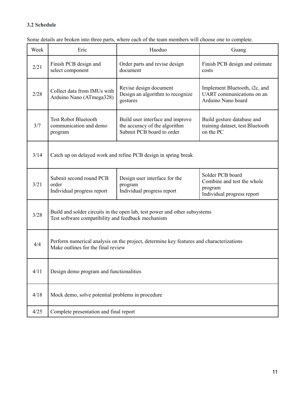# **3.2 Schedule**

| Week | Eric                                                                                                                             | Haoduo                                                                                         | Guang                                                                                   |  |
|------|----------------------------------------------------------------------------------------------------------------------------------|------------------------------------------------------------------------------------------------|-----------------------------------------------------------------------------------------|--|
| 2/21 | Finish PCB design and<br>select component                                                                                        | Order parts and revise design<br>document                                                      | Finish PCB design and estimate<br>costs                                                 |  |
| 2/28 | Collect data from IMUs with<br>Arduino Nano (ATmega328)                                                                          | Revise design document<br>Design an algorithm to recognize<br>gestures                         | Implement Bluetooth, i2c, and<br>UART communications on an<br>Arduino Nano board        |  |
| 3/7  | <b>Test Robot Bluetooth</b><br>communication and demo<br>program                                                                 | Build user interface and improve<br>the accuracy of the algorithm<br>Submit PCB board to order | Build gesture database and<br>training dataset, test Bluetooth<br>on the PC             |  |
| 3/14 | Catch up on delayed work and refine PCB design in spring break                                                                   |                                                                                                |                                                                                         |  |
| 3/21 | Submit second round PCB<br>order<br>Individual progress report                                                                   | Design user interface for the<br>program<br>Individual progress report                         | Solder PCB board<br>Combine and test the whole<br>program<br>Individual progress report |  |
| 3/28 | Build and solder circuits in the open lab, test power and other subsystems<br>Test software compatibility and feedback mechanism |                                                                                                |                                                                                         |  |
| 4/4  | Perform numerical analysis on the project, determine key features and characterizations<br>Make outlines for the final review    |                                                                                                |                                                                                         |  |
| 4/11 | Design demo program and functionalities                                                                                          |                                                                                                |                                                                                         |  |
| 4/18 | Mock demo, solve potential problems in procedure                                                                                 |                                                                                                |                                                                                         |  |
| 4/25 | Complete presentation and final report                                                                                           |                                                                                                |                                                                                         |  |

Some details are broken into three parts, where each of the team members will choose one to complete.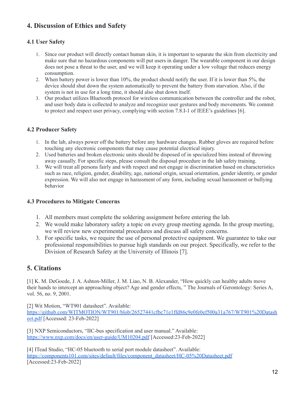# **4. Discussion of Ethics and Safety**

## **4.1 User Safety**

- 1. Since our product will directly contact human skin, it is important to separate the skin from electricity and make sure that no hazardous components will put users in danger. The wearable component in our design does not pose a threat to the user, and we will keep it operating under a low voltage that reduces energy consumption.
- 2. When battery power is lower than 10%, the product should notify the user. If it is lower than 5%, the device should shut down the system automatically to prevent the battery from starvation. Also, if the system is not in use for a long time, it should also shut down itself.
- 3. Our product utilizes Bluetooth protocol for wireless communication between the controller and the robot, and user body data is collected to analyze and recognize user gestures and body movements. We commit to protect and respect user privacy, complying with section 7.8.I-1 of IEEE's guidelines [6].

## **4.2 Producer Safety**

- 1. In the lab, always power off the battery before any hardware changes. Rubber gloves are required before touching any electronic components that may cause potential electrical injury.
- 2. Used batteries and broken electronic units should be disposed of in specialized bins instead of throwing away casually. For specific steps, please consult the disposal procedure in the lab safety training.
- 3. We will treat all persons fairly and with respect and not engage in discrimination based on characteristics such as race, religion, gender, disability, age, national origin, sexual orientation, gender identity, or gender expression. We will also not engage in harassment of any form, including sexual harassment or bullying behavior

## **4.3 Procedures to Mitigate Concerns**

- 1. All members must complete the soldering assignment before entering the lab.
- 2. We would make laboratory safety a topic on every group meeting agenda. In the group meeting, we will review new experimental procedures and discuss all safety concerns.
- 3. For specific tasks, we require the use of personal protective equipment. We guarantee to take our professional responsibilities to pursue high standards on our project. Specifically, we refer to the Division of Research Safety at the University of Illinois [7].

# **5. Citations**

[1] K. M. DeGoede, J. A. Ashton-Miller, J. M. Liao, N. B. Alexander, "How quickly can healthy adults move their hands to intercept an approaching object? Age and gender effects, " The Journals of Gerontology: Series A, vol. 56, no. 9, 2001.

[2] Wit Motion, "WT901 datasheet". Available: [https://github.com/WITMOTION/WT901/blob/26527441cfbc71e1ffd86c9e0fe0ef500a31a767/WT901%20Datash](https://github.com/WITMOTION/WT901/blob/26527441cfbc71e1ffd86c9e0fe0ef500a31a767/WT901%20Datasheet.pdf) [eet.pdf](https://github.com/WITMOTION/WT901/blob/26527441cfbc71e1ffd86c9e0fe0ef500a31a767/WT901%20Datasheet.pdf) [Accessed: 23-Feb-2022]

[3] NXP Semiconductors, "IIC-bus specification and user manual." Available: <https://www.nxp.com/docs/en/user-guide/UM10204.pdf> [Accessed:23-Feb-2022]

[4] ITead Studio, "HC-05 bluetooth to serial port module datasheet". Available: [https://components101.com/sites/default/files/component\\_datasheet/HC-05%20Datasheet.pdf](https://components101.com/sites/default/files/component_datasheet/HC-05%20Datasheet.pdf) [Accessed:23-Feb-2022]